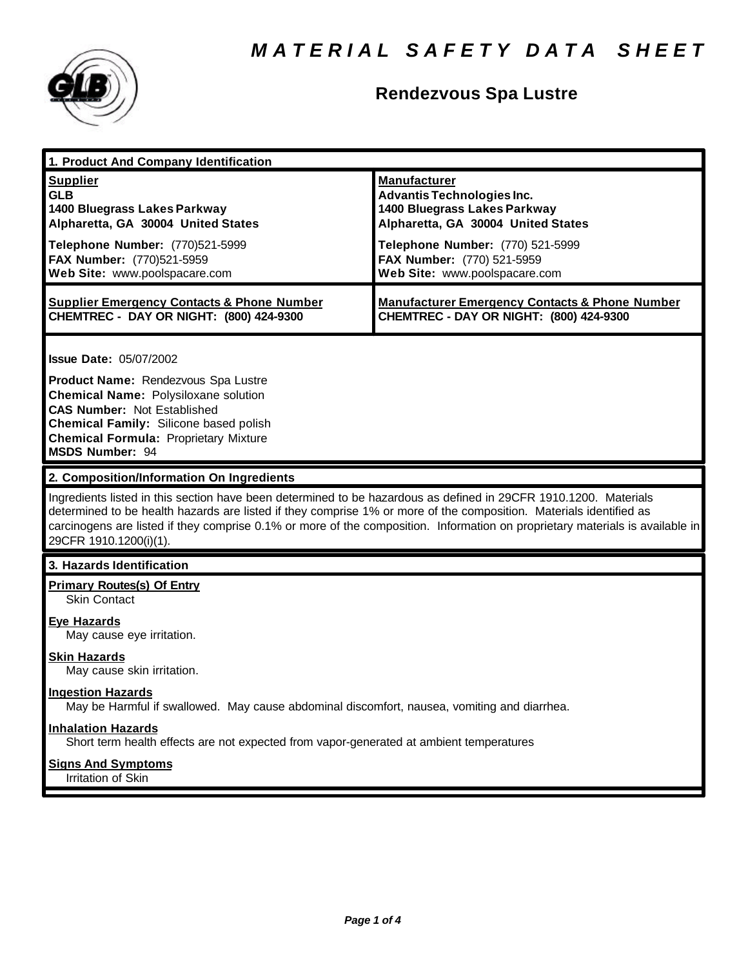

# **Rendezvous Spa Lustre**

| 1. Product And Company Identification                                                                                                                                                                                                                                                                                                                                                                                                          |                                                                                                                                |
|------------------------------------------------------------------------------------------------------------------------------------------------------------------------------------------------------------------------------------------------------------------------------------------------------------------------------------------------------------------------------------------------------------------------------------------------|--------------------------------------------------------------------------------------------------------------------------------|
| <b>Supplier</b><br><b>GLB</b><br>1400 Bluegrass Lakes Parkway<br>Alpharetta, GA 30004 United States                                                                                                                                                                                                                                                                                                                                            | <b>Manufacturer</b><br><b>Advantis Technologies Inc.</b><br>1400 Bluegrass Lakes Parkway<br>Alpharetta, GA 30004 United States |
| Telephone Number: (770)521-5999<br>FAX Number: (770)521-5959<br>Web Site: www.poolspacare.com                                                                                                                                                                                                                                                                                                                                                  | Telephone Number: (770) 521-5999<br>FAX Number: (770) 521-5959<br>Web Site: www.poolspacare.com                                |
| <b>Supplier Emergency Contacts &amp; Phone Number</b><br>CHEMTREC - DAY OR NIGHT: (800) 424-9300                                                                                                                                                                                                                                                                                                                                               | <b>Manufacturer Emergency Contacts &amp; Phone Number</b><br>CHEMTREC - DAY OR NIGHT: (800) 424-9300                           |
| <b>Issue Date: 05/07/2002</b><br>Product Name: Rendezvous Spa Lustre<br><b>Chemical Name: Polysiloxane solution</b><br><b>CAS Number: Not Established</b><br>Chemical Family: Silicone based polish<br><b>Chemical Formula: Proprietary Mixture</b><br><b>MSDS Number: 94</b>                                                                                                                                                                  |                                                                                                                                |
| 2. Composition/Information On Ingredients<br>Ingredients listed in this section have been determined to be hazardous as defined in 29CFR 1910.1200. Materials<br>determined to be health hazards are listed if they comprise 1% or more of the composition. Materials identified as<br>carcinogens are listed if they comprise 0.1% or more of the composition. Information on proprietary materials is available in<br>29CFR 1910.1200(i)(1). |                                                                                                                                |
|                                                                                                                                                                                                                                                                                                                                                                                                                                                |                                                                                                                                |
| 3. Hazards Identification                                                                                                                                                                                                                                                                                                                                                                                                                      |                                                                                                                                |
| <b>Primary Routes(s) Of Entry</b><br><b>Skin Contact</b><br><b>Eye Hazards</b><br>May cause eye irritation.                                                                                                                                                                                                                                                                                                                                    |                                                                                                                                |
| <b>Skin Hazards</b><br>May cause skin irritation.                                                                                                                                                                                                                                                                                                                                                                                              |                                                                                                                                |
| <b>Ingestion Hazards</b><br>May be Harmful if swallowed. May cause abdominal discomfort, nausea, vomiting and diarrhea.                                                                                                                                                                                                                                                                                                                        |                                                                                                                                |
| <b>Inhalation Hazards</b><br>Short term health effects are not expected from vapor-generated at ambient temperatures                                                                                                                                                                                                                                                                                                                           |                                                                                                                                |
| <b>Signs And Symptoms</b><br>Irritation of Skin                                                                                                                                                                                                                                                                                                                                                                                                |                                                                                                                                |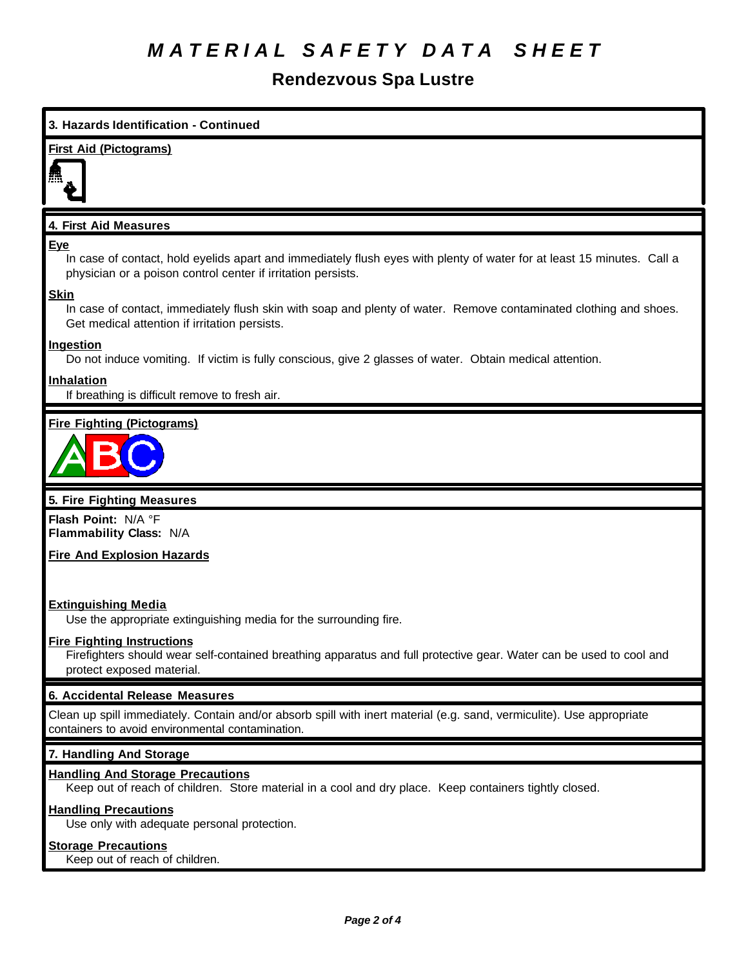# *M A T E R I A L S A F E T Y D A T A S H E E T*

# **Rendezvous Spa Lustre**

## **3. Hazards Identification - Continued**

### **First Aid (Pictograms)**



### **4. First Aid Measures**

### **Eye**

In case of contact, hold eyelids apart and immediately flush eyes with plenty of water for at least 15 minutes. Call a physician or a poison control center if irritation persists.

### **Skin**

In case of contact, immediately flush skin with soap and plenty of water. Remove contaminated clothing and shoes. Get medical attention if irritation persists.

### **Ingestion**

Do not induce vomiting. If victim is fully conscious, give 2 glasses of water. Obtain medical attention.

### **Inhalation**

If breathing is difficult remove to fresh air.

### **Fire Fighting (Pictograms)**



### **5. Fire Fighting Measures**

**Flash Point:** N/A °F **Flammability Class:** N/A

### **Fire And Explosion Hazards**

### **Extinguishing Media**

Use the appropriate extinguishing media for the surrounding fire.

### **Fire Fighting Instructions**

Firefighters should wear self-contained breathing apparatus and full protective gear. Water can be used to cool and protect exposed material.

### **6. Accidental Release Measures**

Clean up spill immediately. Contain and/or absorb spill with inert material (e.g. sand, vermiculite). Use appropriate containers to avoid environmental contamination.

### **7. Handling And Storage**

### **Handling And Storage Precautions**

Keep out of reach of children. Store material in a cool and dry place. Keep containers tightly closed.

### **Handling Precautions**

Use only with adequate personal protection.

### **Storage Precautions**

Keep out of reach of children.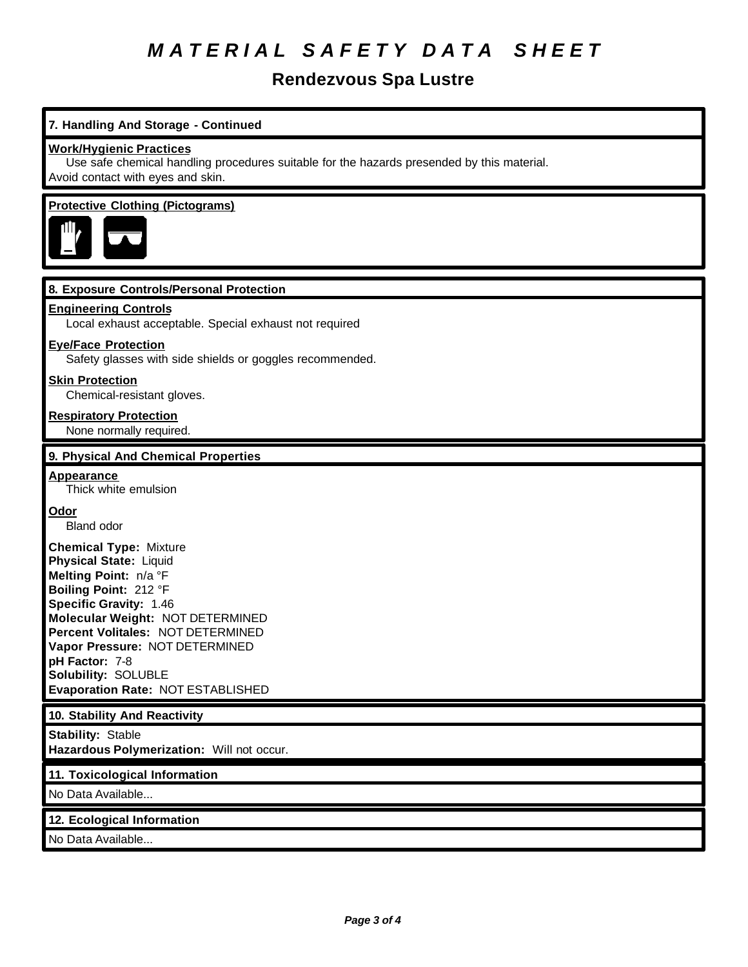# *M A T E R I A L S A F E T Y D A T A S H E E T*

# **Rendezvous Spa Lustre**

# **7. Handling And Storage - Continued**

### **Work/Hygienic Practices**

Use safe chemical handling procedures suitable for the hazards presended by this material. Avoid contact with eyes and skin.

### **Protective Clothing (Pictograms)**



### **8. Exposure Controls/Personal Protection**

#### **Engineering Controls**

Local exhaust acceptable. Special exhaust not required

### **Eye/Face Protection**

Safety glasses with side shields or goggles recommended.

### **Skin Protection**

Chemical-resistant gloves.

## **Respiratory Protection**

None normally required.

### **9. Physical And Chemical Properties**

### **Appearance**

Thick white emulsion

### **Odor**

Bland odor

**Chemical Type:** Mixture **Physical State:** Liquid **Melting Point:** n/a °F **Boiling Point:** 212 °F **Specific Gravity:** 1.46 **Molecular Weight:** NOT DETERMINED **Percent Volitales:** NOT DETERMINED **Vapor Pressure:** NOT DETERMINED **pH Factor:** 7-8 **Solubility:** SOLUBLE **Evaporation Rate:** NOT ESTABLISHED

### **10. Stability And Reactivity**

**Stability:** Stable **Hazardous Polymerization:** Will not occur.

### **11. Toxicological Information**

No Data Available...

### **12. Ecological Information**

No Data Available...